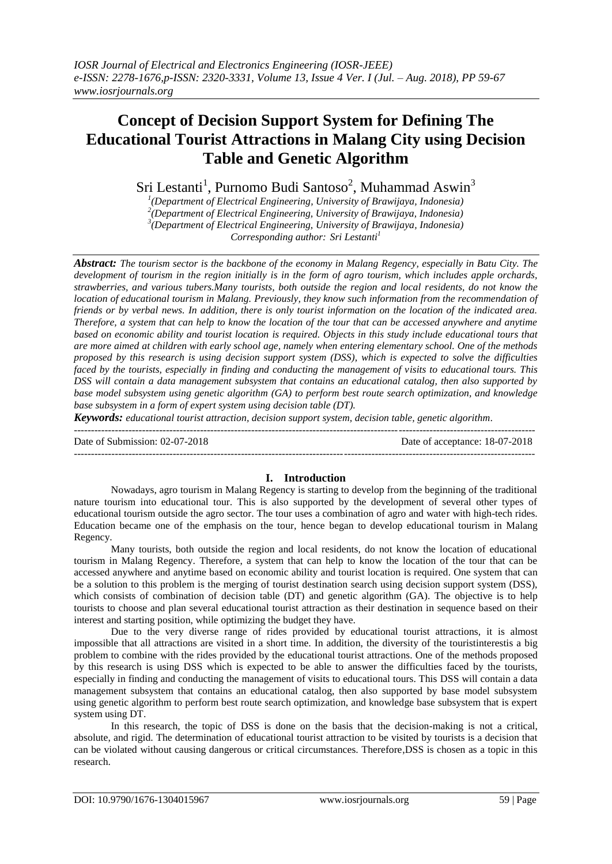# **Concept of Decision Support System for Defining The Educational Tourist Attractions in Malang City using Decision Table and Genetic Algorithm**

Sri Lestanti<sup>1</sup>, Purnomo Budi Santoso<sup>2</sup>, Muhammad Aswin<sup>3</sup>

 *(Department of Electrical Engineering, University of Brawijaya, Indonesia) (Department of Electrical Engineering, University of Brawijaya, Indonesia) (Department of Electrical Engineering, University of Brawijaya, Indonesia) Corresponding author: Sri Lestanti<sup>1</sup>*

*Abstract: The tourism sector is the backbone of the economy in Malang Regency, especially in Batu City. The development of tourism in the region initially is in the form of agro tourism, which includes apple orchards, strawberries, and various tubers.Many tourists, both outside the region and local residents, do not know the location of educational tourism in Malang. Previously, they know such information from the recommendation of friends or by verbal news. In addition, there is only tourist information on the location of the indicated area. Therefore, a system that can help to know the location of the tour that can be accessed anywhere and anytime based on economic ability and tourist location is required. Objects in this study include educational tours that are more aimed at children with early school age, namely when entering elementary school. One of the methods proposed by this research is using decision support system (DSS), which is expected to solve the difficulties faced by the tourists, especially in finding and conducting the management of visits to educational tours. This DSS will contain a data management subsystem that contains an educational catalog, then also supported by base model subsystem using genetic algorithm (GA) to perform best route search optimization, and knowledge base subsystem in a form of expert system using decision table (DT).*

*Keywords: educational tourist attraction, decision support system, decision table, genetic algorithm.* ---------------------------------------------------------------------------------------------------------------------------------------

Date of Submission: 02-07-2018 Date of acceptance: 18-07-2018

---------------------------------------------------------------------------------------------------------------------------------------

# **I. Introduction**

Nowadays, agro tourism in Malang Regency is starting to develop from the beginning of the traditional nature tourism into educational tour. This is also supported by the development of several other types of educational tourism outside the agro sector. The tour uses a combination of agro and water with high-tech rides. Education became one of the emphasis on the tour, hence began to develop educational tourism in Malang Regency.

Many tourists, both outside the region and local residents, do not know the location of educational tourism in Malang Regency. Therefore, a system that can help to know the location of the tour that can be accessed anywhere and anytime based on economic ability and tourist location is required. One system that can be a solution to this problem is the merging of tourist destination search using decision support system (DSS), which consists of combination of decision table (DT) and genetic algorithm (GA). The objective is to help tourists to choose and plan several educational tourist attraction as their destination in sequence based on their interest and starting position, while optimizing the budget they have.

Due to the very diverse range of rides provided by educational tourist attractions, it is almost impossible that all attractions are visited in a short time. In addition, the diversity of the touristinterestis a big problem to combine with the rides provided by the educational tourist attractions. One of the methods proposed by this research is using DSS which is expected to be able to answer the difficulties faced by the tourists, especially in finding and conducting the management of visits to educational tours. This DSS will contain a data management subsystem that contains an educational catalog, then also supported by base model subsystem using genetic algorithm to perform best route search optimization, and knowledge base subsystem that is expert system using DT.

In this research, the topic of DSS is done on the basis that the decision-making is not a critical, absolute, and rigid. The determination of educational tourist attraction to be visited by tourists is a decision that can be violated without causing dangerous or critical circumstances. Therefore,DSS is chosen as a topic in this research.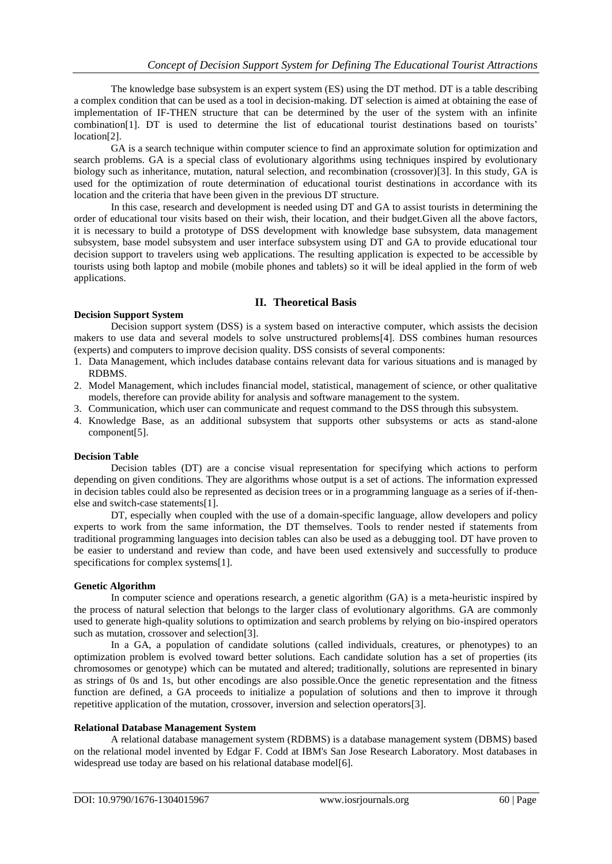The knowledge base subsystem is an expert system (ES) using the DT method. DT is a table describing a complex condition that can be used as a tool in decision-making. DT selection is aimed at obtaining the ease of implementation of IF-THEN structure that can be determined by the user of the system with an infinite combination[1]. DT is used to determine the list of educational tourist destinations based on tourists' location[2].

GA is a search technique within computer science to find an approximate solution for optimization and search problems. GA is a special class of evolutionary algorithms using techniques inspired by evolutionary biology such as inheritance, mutation, natural selection, and recombination (crossover)[3]. In this study, GA is used for the optimization of route determination of educational tourist destinations in accordance with its location and the criteria that have been given in the previous DT structure.

In this case, research and development is needed using DT and GA to assist tourists in determining the order of educational tour visits based on their wish, their location, and their budget.Given all the above factors, it is necessary to build a prototype of DSS development with knowledge base subsystem, data management subsystem, base model subsystem and user interface subsystem using DT and GA to provide educational tour decision support to travelers using web applications. The resulting application is expected to be accessible by tourists using both laptop and mobile (mobile phones and tablets) so it will be ideal applied in the form of web applications.

# **II. Theoretical Basis**

#### **Decision Support System**

Decision support system (DSS) is a system based on interactive computer, which assists the decision makers to use data and several models to solve unstructured problems[4]. DSS combines human resources (experts) and computers to improve decision quality. DSS consists of several components:

- 1. Data Management, which includes database contains relevant data for various situations and is managed by RDBMS.
- 2. Model Management, which includes financial model, statistical, management of science, or other qualitative models, therefore can provide ability for analysis and software management to the system.
- 3. Communication, which user can communicate and request command to the DSS through this subsystem.
- 4. Knowledge Base, as an additional subsystem that supports other subsystems or acts as stand-alone component[5].

#### **Decision Table**

Decision tables (DT) are a concise visual representation for specifying which actions to perform depending on given conditions. They are algorithms whose output is a set of actions. The information expressed in decision tables could also be represented as decision trees or in a programming language as a series of if-thenelse and switch-case statements[1].

DT, especially when coupled with the use of a domain-specific language, allow developers and policy experts to work from the same information, the DT themselves. Tools to render nested if statements from traditional programming languages into decision tables can also be used as a debugging tool. DT have proven to be easier to understand and review than code, and have been used extensively and successfully to produce specifications for complex systems[1].

#### **Genetic Algorithm**

In computer science and operations research, a genetic algorithm (GA) is a meta-heuristic inspired by the process of natural selection that belongs to the larger class of evolutionary algorithms. GA are commonly used to generate high-quality solutions to optimization and search problems by relying on bio-inspired operators such as mutation, crossover and selection[3].

In a GA, a population of candidate solutions (called individuals, creatures, or phenotypes) to an optimization problem is evolved toward better solutions. Each candidate solution has a set of properties (its chromosomes or genotype) which can be mutated and altered; traditionally, solutions are represented in binary as strings of 0s and 1s, but other encodings are also possible.Once the genetic representation and the fitness function are defined, a GA proceeds to initialize a population of solutions and then to improve it through repetitive application of the mutation, crossover, inversion and selection operators[3].

#### **Relational Database Management System**

A relational database management system (RDBMS) is a database management system (DBMS) based on the relational model invented by Edgar F. Codd at IBM's San Jose Research Laboratory. Most databases in widespread use today are based on his relational database model[6].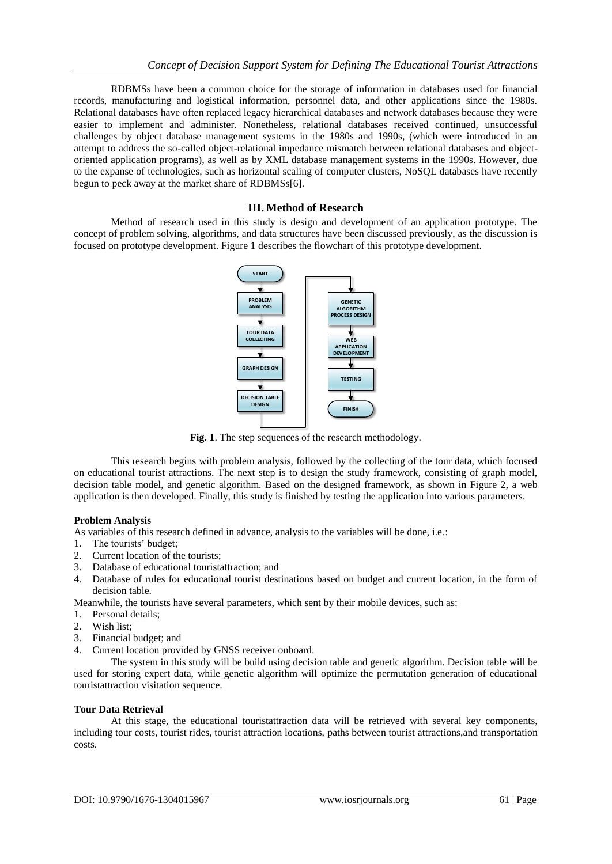RDBMSs have been a common choice for the storage of information in databases used for financial records, manufacturing and logistical information, personnel data, and other applications since the 1980s. Relational databases have often replaced legacy hierarchical databases and network databases because they were easier to implement and administer. Nonetheless, relational databases received continued, unsuccessful challenges by object database management systems in the 1980s and 1990s, (which were introduced in an attempt to address the so-called object-relational impedance mismatch between relational databases and objectoriented application programs), as well as by XML database management systems in the 1990s. However, due to the expanse of technologies, such as horizontal scaling of computer clusters, NoSQL databases have recently begun to peck away at the market share of RDBMSs[6].

# **III. Method of Research**

Method of research used in this study is design and development of an application prototype. The concept of problem solving, algorithms, and data structures have been discussed previously, as the discussion is focused on prototype development. Figure 1 describes the flowchart of this prototype development.



**Fig. 1**. The step sequences of the research methodology.

This research begins with problem analysis, followed by the collecting of the tour data, which focused on educational tourist attractions. The next step is to design the study framework, consisting of graph model, decision table model, and genetic algorithm. Based on the designed framework, as shown in Figure 2, a web application is then developed. Finally, this study is finished by testing the application into various parameters.

# **Problem Analysis**

As variables of this research defined in advance, analysis to the variables will be done, i.e.:

- 1. The tourists' budget;
- 2. Current location of the tourists;
- 3. Database of educational touristattraction; and
- 4. Database of rules for educational tourist destinations based on budget and current location, in the form of decision table.

Meanwhile, the tourists have several parameters, which sent by their mobile devices, such as:

- 1. Personal details;
- 2. Wish list;
- 3. Financial budget; and
- 4. Current location provided by GNSS receiver onboard.

The system in this study will be build using decision table and genetic algorithm. Decision table will be used for storing expert data, while genetic algorithm will optimize the permutation generation of educational touristattraction visitation sequence.

# **Tour Data Retrieval**

At this stage, the educational touristattraction data will be retrieved with several key components, including tour costs, tourist rides, tourist attraction locations, paths between tourist attractions,and transportation costs.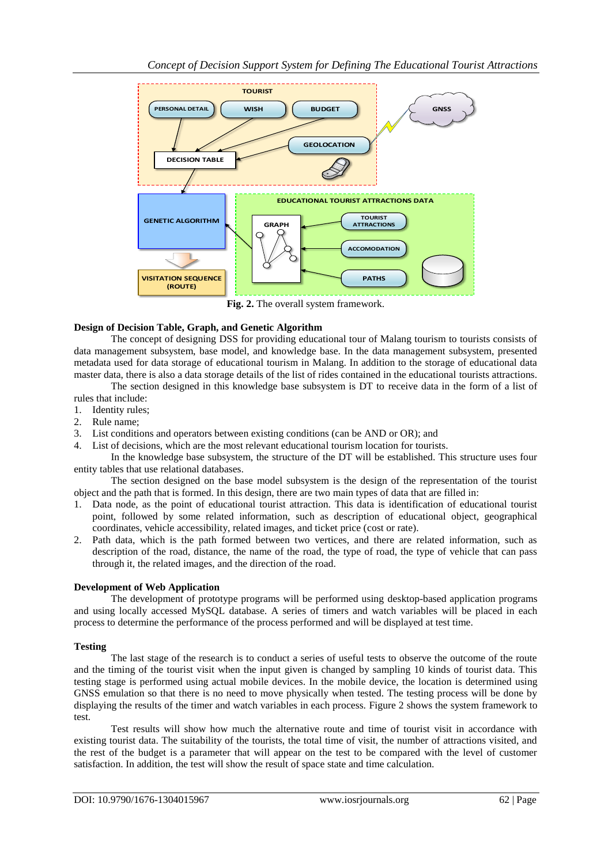

**Fig. 2.** The overall system framework.

# **Design of Decision Table, Graph, and Genetic Algorithm**

The concept of designing DSS for providing educational tour of Malang tourism to tourists consists of data management subsystem, base model, and knowledge base. In the data management subsystem, presented metadata used for data storage of educational tourism in Malang. In addition to the storage of educational data master data, there is also a data storage details of the list of rides contained in the educational tourists attractions.

The section designed in this knowledge base subsystem is DT to receive data in the form of a list of rules that include:

- 1. Identity rules;
- 2. Rule name;
- 3. List conditions and operators between existing conditions (can be AND or OR); and
- 4. List of decisions, which are the most relevant educational tourism location for tourists.

In the knowledge base subsystem, the structure of the DT will be established. This structure uses four entity tables that use relational databases.

The section designed on the base model subsystem is the design of the representation of the tourist object and the path that is formed. In this design, there are two main types of data that are filled in:

- 1. Data node, as the point of educational tourist attraction. This data is identification of educational tourist point, followed by some related information, such as description of educational object, geographical coordinates, vehicle accessibility, related images, and ticket price (cost or rate).
- 2. Path data, which is the path formed between two vertices, and there are related information, such as description of the road, distance, the name of the road, the type of road, the type of vehicle that can pass through it, the related images, and the direction of the road.

# **Development of Web Application**

The development of prototype programs will be performed using desktop-based application programs and using locally accessed MySQL database. A series of timers and watch variables will be placed in each process to determine the performance of the process performed and will be displayed at test time.

# **Testing**

The last stage of the research is to conduct a series of useful tests to observe the outcome of the route and the timing of the tourist visit when the input given is changed by sampling 10 kinds of tourist data. This testing stage is performed using actual mobile devices. In the mobile device, the location is determined using GNSS emulation so that there is no need to move physically when tested. The testing process will be done by displaying the results of the timer and watch variables in each process. Figure 2 shows the system framework to test.

Test results will show how much the alternative route and time of tourist visit in accordance with existing tourist data. The suitability of the tourists, the total time of visit, the number of attractions visited, and the rest of the budget is a parameter that will appear on the test to be compared with the level of customer satisfaction. In addition, the test will show the result of space state and time calculation.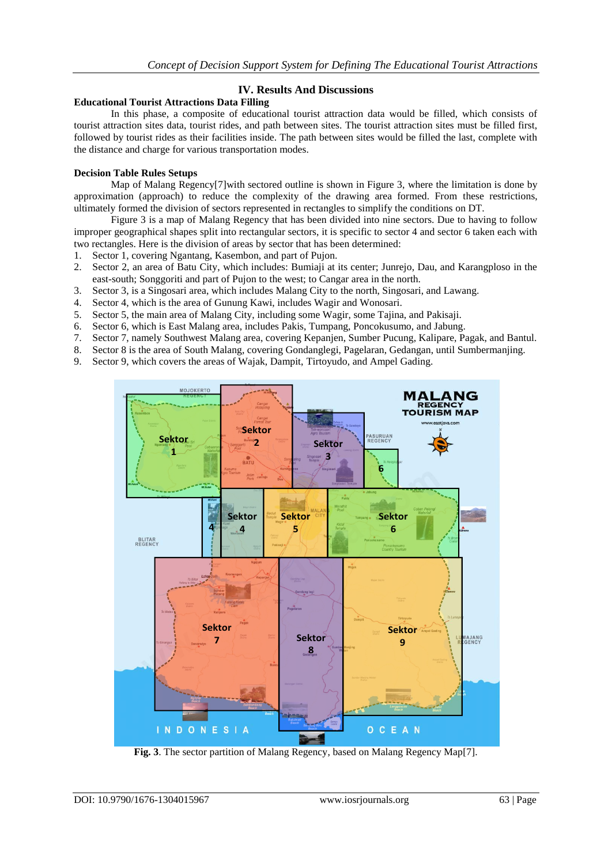# **IV. Results And Discussions**

#### **Educational Tourist Attractions Data Filling**

In this phase, a composite of educational tourist attraction data would be filled, which consists of tourist attraction sites data, tourist rides, and path between sites. The tourist attraction sites must be filled first, followed by tourist rides as their facilities inside. The path between sites would be filled the last, complete with the distance and charge for various transportation modes.

# **Decision Table Rules Setups**

Map of Malang Regency<sup>[7]</sup>with sectored outline is shown in Figure 3, where the limitation is done by approximation (approach) to reduce the complexity of the drawing area formed. From these restrictions, ultimately formed the division of sectors represented in rectangles to simplify the conditions on DT.

Figure 3 is a map of Malang Regency that has been divided into nine sectors. Due to having to follow improper geographical shapes split into rectangular sectors, it is specific to sector 4 and sector 6 taken each with two rectangles. Here is the division of areas by sector that has been determined:

- 1. Sector 1, covering Ngantang, Kasembon, and part of Pujon.
- 2. Sector 2, an area of Batu City, which includes: Bumiaji at its center; Junrejo, Dau, and Karangploso in the east-south; Songgoriti and part of Pujon to the west; to Cangar area in the north.
- 3. Sector 3, is a Singosari area, which includes Malang City to the north, Singosari, and Lawang.
- 4. Sector 4, which is the area of Gunung Kawi, includes Wagir and Wonosari.
- 5. Sector 5, the main area of Malang City, including some Wagir, some Tajina, and Pakisaji.
- 6. Sector 6, which is East Malang area, includes Pakis, Tumpang, Poncokusumo, and Jabung.
- 7. Sector 7, namely Southwest Malang area, covering Kepanjen, Sumber Pucung, Kalipare, Pagak, and Bantul.
- 8. Sector 8 is the area of South Malang, covering Gondanglegi, Pagelaran, Gedangan, until Sumbermanjing.
- 9. Sector 9, which covers the areas of Wajak, Dampit, Tirtoyudo, and Ampel Gading.



**Fig. 3**. The sector partition of Malang Regency, based on Malang Regency Map[7].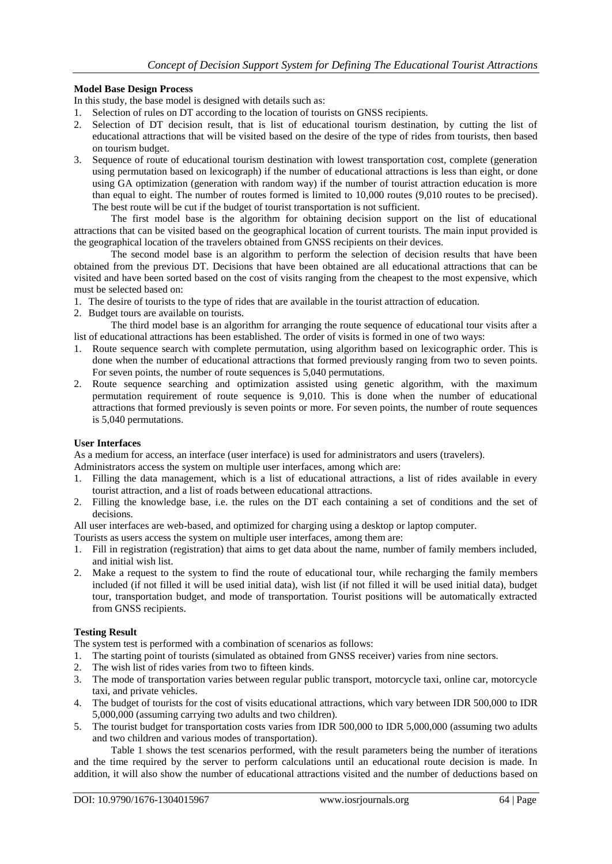#### **Model Base Design Process**

In this study, the base model is designed with details such as:

- 1. Selection of rules on DT according to the location of tourists on GNSS recipients.
- 2. Selection of DT decision result, that is list of educational tourism destination, by cutting the list of educational attractions that will be visited based on the desire of the type of rides from tourists, then based on tourism budget.
- 3. Sequence of route of educational tourism destination with lowest transportation cost, complete (generation using permutation based on lexicograph) if the number of educational attractions is less than eight, or done using GA optimization (generation with random way) if the number of tourist attraction education is more than equal to eight. The number of routes formed is limited to 10,000 routes (9,010 routes to be precised). The best route will be cut if the budget of tourist transportation is not sufficient.

The first model base is the algorithm for obtaining decision support on the list of educational attractions that can be visited based on the geographical location of current tourists. The main input provided is the geographical location of the travelers obtained from GNSS recipients on their devices.

The second model base is an algorithm to perform the selection of decision results that have been obtained from the previous DT. Decisions that have been obtained are all educational attractions that can be visited and have been sorted based on the cost of visits ranging from the cheapest to the most expensive, which must be selected based on:

- 1. The desire of tourists to the type of rides that are available in the tourist attraction of education.
- 2. Budget tours are available on tourists.

The third model base is an algorithm for arranging the route sequence of educational tour visits after a list of educational attractions has been established. The order of visits is formed in one of two ways:

- 1. Route sequence search with complete permutation, using algorithm based on lexicographic order. This is done when the number of educational attractions that formed previously ranging from two to seven points. For seven points, the number of route sequences is 5,040 permutations.
- 2. Route sequence searching and optimization assisted using genetic algorithm, with the maximum permutation requirement of route sequence is 9,010. This is done when the number of educational attractions that formed previously is seven points or more. For seven points, the number of route sequences is 5,040 permutations.

#### **User Interfaces**

As a medium for access, an interface (user interface) is used for administrators and users (travelers).

Administrators access the system on multiple user interfaces, among which are:

- 1. Filling the data management, which is a list of educational attractions, a list of rides available in every tourist attraction, and a list of roads between educational attractions.
- 2. Filling the knowledge base, i.e. the rules on the DT each containing a set of conditions and the set of decisions.

All user interfaces are web-based, and optimized for charging using a desktop or laptop computer.

- Tourists as users access the system on multiple user interfaces, among them are:
- 1. Fill in registration (registration) that aims to get data about the name, number of family members included, and initial wish list.
- 2. Make a request to the system to find the route of educational tour, while recharging the family members included (if not filled it will be used initial data), wish list (if not filled it will be used initial data), budget tour, transportation budget, and mode of transportation. Tourist positions will be automatically extracted from GNSS recipients.

# **Testing Result**

The system test is performed with a combination of scenarios as follows:

- 1. The starting point of tourists (simulated as obtained from GNSS receiver) varies from nine sectors.
- 2. The wish list of rides varies from two to fifteen kinds.
- 3. The mode of transportation varies between regular public transport, motorcycle taxi, online car, motorcycle taxi, and private vehicles.
- 4. The budget of tourists for the cost of visits educational attractions, which vary between IDR 500,000 to IDR 5,000,000 (assuming carrying two adults and two children).
- 5. The tourist budget for transportation costs varies from IDR 500,000 to IDR 5,000,000 (assuming two adults and two children and various modes of transportation).

Table 1 shows the test scenarios performed, with the result parameters being the number of iterations and the time required by the server to perform calculations until an educational route decision is made. In addition, it will also show the number of educational attractions visited and the number of deductions based on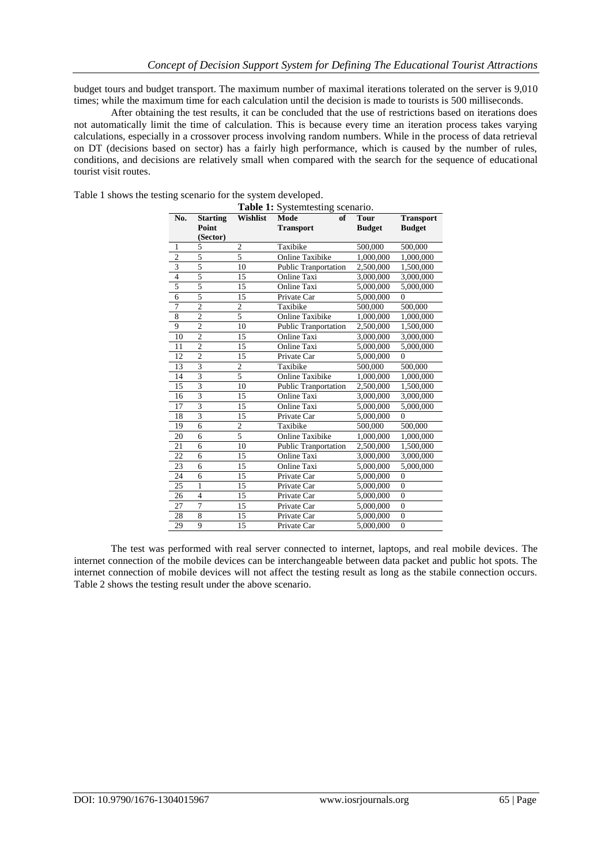budget tours and budget transport. The maximum number of maximal iterations tolerated on the server is 9,010 times; while the maximum time for each calculation until the decision is made to tourists is 500 milliseconds.

After obtaining the test results, it can be concluded that the use of restrictions based on iterations does not automatically limit the time of calculation. This is because every time an iteration process takes varying calculations, especially in a crossover process involving random numbers. While in the process of data retrieval on DT (decisions based on sector) has a fairly high performance, which is caused by the number of rules, conditions, and decisions are relatively small when compared with the search for the sequence of educational tourist visit routes.

| <b>Table 1:</b> Systemtesting scenario. |                                      |                 |                                |                              |                                   |  |  |  |  |
|-----------------------------------------|--------------------------------------|-----------------|--------------------------------|------------------------------|-----------------------------------|--|--|--|--|
| No.                                     | <b>Starting</b><br>Point<br>(Sector) | <b>Wishlist</b> | of<br>Mode<br><b>Transport</b> | <b>Tour</b><br><b>Budget</b> | <b>Transport</b><br><b>Budget</b> |  |  |  |  |
| 1                                       | 5                                    | $\overline{c}$  | Taxibike                       | 500,000                      | 500,000                           |  |  |  |  |
| $\overline{2}$                          | 5                                    | 5               | <b>Online Taxibike</b>         | 1,000,000                    | 1,000,000                         |  |  |  |  |
| $\overline{\mathbf{3}}$                 | 5                                    | 10              | Public Tranportation           | 2,500,000                    | 1,500,000                         |  |  |  |  |
| $\overline{4}$                          | 5                                    | 15              | <b>Online Taxi</b>             | 3,000,000                    | 3,000,000                         |  |  |  |  |
| 5                                       | 5                                    | 15              | Online Taxi                    | 5,000,000                    | 5,000,000                         |  |  |  |  |
| 6                                       | $\overline{5}$                       | 15              | Private Car                    | 5,000,000                    | $\theta$                          |  |  |  |  |
| 7                                       | $\overline{2}$                       | $\overline{2}$  | Taxibike                       | 500,000                      | 500,000                           |  |  |  |  |
| 8                                       | $\overline{2}$                       | 5               | <b>Online Taxibike</b>         | 1,000,000                    | 1,000,000                         |  |  |  |  |
| 9                                       | $\overline{2}$                       | 10              | <b>Public Tranportation</b>    | 2,500,000                    | 1,500,000                         |  |  |  |  |
| 10                                      | $\overline{2}$                       | 15              | <b>Online Taxi</b>             | 3,000,000                    | 3,000,000                         |  |  |  |  |
| 11                                      | $\overline{2}$                       | 15              | Online Taxi                    | 5,000,000                    | 5,000,000                         |  |  |  |  |
| 12                                      | $\overline{2}$                       | 15              | Private Car                    | 5,000,000                    | $\theta$                          |  |  |  |  |
| 13                                      | $\overline{\mathbf{3}}$              | $\overline{c}$  | Taxibike                       | 500,000                      | 500,000                           |  |  |  |  |
| 14                                      | 3                                    | 5               | <b>Online Taxibike</b>         | 1,000,000                    | 1,000,000                         |  |  |  |  |
| 15                                      | $\overline{\mathbf{3}}$              | 10              | <b>Public Tranportation</b>    | 2,500,000                    | 1,500,000                         |  |  |  |  |
| 16                                      | $\overline{\mathbf{3}}$              | 15              | <b>Online Taxi</b>             | 3,000,000                    | 3,000,000                         |  |  |  |  |
| 17                                      | $\overline{\mathbf{3}}$              | 15              | <b>Online Taxi</b>             | 5,000,000                    | 5,000,000                         |  |  |  |  |
| 18                                      | $\overline{\mathbf{3}}$              | 15              | Private Car                    | 5,000,000                    | $\theta$                          |  |  |  |  |
| 19                                      | 6                                    | $\overline{c}$  | Taxibike                       | 500,000                      | 500,000                           |  |  |  |  |
| 20                                      | 6                                    | 5               | <b>Online Taxibike</b>         | 1,000,000                    | 1,000,000                         |  |  |  |  |
| 21                                      | 6                                    | 10              | Public Tranportation           | 2,500,000                    | 1,500,000                         |  |  |  |  |
| 22                                      | 6                                    | 15              | Online Taxi                    | 3,000,000                    | 3,000,000                         |  |  |  |  |
| 23                                      | 6                                    | 15              | <b>Online Taxi</b>             | 5,000,000                    | 5,000,000                         |  |  |  |  |
| 24                                      | 6                                    | 15              | Private Car                    | 5,000,000                    | $\overline{0}$                    |  |  |  |  |
| 25                                      | $\mathbf{1}$                         | 15              | Private Car                    | 5,000,000                    | $\overline{0}$                    |  |  |  |  |
| 26                                      | $\overline{4}$                       | 15              | Private Car                    | 5,000,000                    | $\overline{0}$                    |  |  |  |  |
| 27                                      | $\overline{7}$                       | 15              | Private Car                    | 5,000,000                    | $\overline{0}$                    |  |  |  |  |
| 28                                      | 8                                    | 15              | Private Car                    | 5,000,000                    | $\overline{0}$                    |  |  |  |  |
| 29                                      | 9                                    | 15              | Private Car                    | 5,000,000                    | $\boldsymbol{0}$                  |  |  |  |  |
|                                         |                                      |                 |                                |                              |                                   |  |  |  |  |

Table 1 shows the testing scenario for the system developed.

The test was performed with real server connected to internet, laptops, and real mobile devices. The internet connection of the mobile devices can be interchangeable between data packet and public hot spots. The internet connection of mobile devices will not affect the testing result as long as the stabile connection occurs. Table 2 shows the testing result under the above scenario.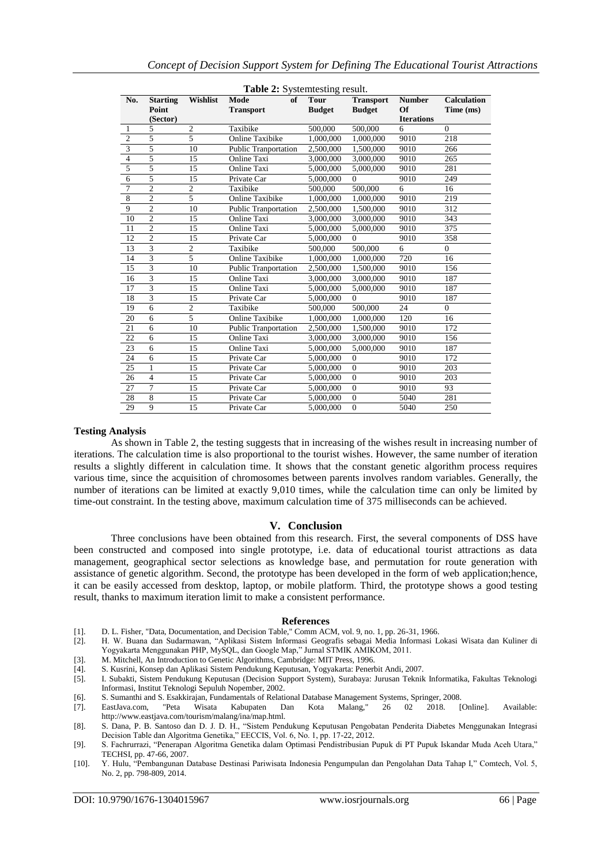| <b>Table 2:</b> Systemtesting result. |                 |                |                             |               |                  |                   |                    |  |  |  |
|---------------------------------------|-----------------|----------------|-----------------------------|---------------|------------------|-------------------|--------------------|--|--|--|
| No.                                   | <b>Starting</b> | Wishlist       | Mode<br>of                  | <b>Tour</b>   | <b>Transport</b> | <b>Number</b>     | <b>Calculation</b> |  |  |  |
|                                       | Point           |                | <b>Transport</b>            | <b>Budget</b> | <b>Budget</b>    | Of                | Time (ms)          |  |  |  |
|                                       | (Sector)        |                |                             |               |                  | <b>Iterations</b> |                    |  |  |  |
| 1                                     | 5               | $\sqrt{2}$     | Taxibike                    | 500,000       | 500,000          | 6                 | $\Omega$           |  |  |  |
| $\overline{2}$                        | $\overline{5}$  | $\overline{5}$ | <b>Online Taxibike</b>      | 1.000.000     | 1,000,000        | 9010              | 218                |  |  |  |
| 3                                     | 5               | 10             | <b>Public Tranportation</b> | 2,500,000     | 1,500,000        | 9010              | 266                |  |  |  |
| $\overline{4}$                        | $\overline{5}$  | 15             | Online Taxi                 | 3,000,000     | 3,000,000        | 9010              | 265                |  |  |  |
| 5                                     | 5               | 15             | Online Taxi                 | 5,000,000     | 5,000,000        | 9010              | 281                |  |  |  |
| 6                                     | $\overline{5}$  | 15             | Private Car                 | 5,000,000     | $\Omega$         | 9010              | 249                |  |  |  |
| $\overline{7}$                        | $\overline{2}$  | $\overline{c}$ | Taxibike                    | 500,000       | 500,000          | 6                 | 16                 |  |  |  |
| 8                                     | $\overline{2}$  | $\overline{5}$ | <b>Online Taxibike</b>      | 1,000,000     | 1,000,000        | 9010              | 219                |  |  |  |
| 9                                     | $\overline{c}$  | 10             | <b>Public Tranportation</b> | 2,500,000     | 1,500,000        | 9010              | 312                |  |  |  |
| 10                                    | $\overline{2}$  | 15             | <b>Online Taxi</b>          | 3,000,000     | 3,000,000        | 9010              | 343                |  |  |  |
| 11                                    | $\overline{2}$  | 15             | Online Taxi                 | 5,000,000     | 5,000,000        | 9010              | 375                |  |  |  |
| 12                                    | $\overline{2}$  | 15             | Private Car                 | 5,000,000     | $\Omega$         | 9010              | 358                |  |  |  |
| 13                                    | 3               | $\mathfrak{2}$ | Taxibike                    | 500,000       | 500,000          | 6                 | $\Omega$           |  |  |  |
| 14                                    | $\overline{3}$  | 5              | <b>Online Taxibike</b>      | 1,000,000     | 1,000,000        | 720               | 16                 |  |  |  |
| 15                                    | $\overline{3}$  | 10             | <b>Public Tranportation</b> | 2,500,000     | 1,500,000        | 9010              | 156                |  |  |  |
| 16                                    | $\overline{3}$  | 15             | Online Taxi                 | 3,000,000     | 3,000,000        | 9010              | 187                |  |  |  |
| 17                                    | $\overline{3}$  | 15             | Online Taxi                 | 5,000,000     | 5,000,000        | 9010              | 187                |  |  |  |
| 18                                    | $\overline{3}$  | 15             | Private Car                 | 5,000,000     | $\Omega$         | 9010              | 187                |  |  |  |
| 19                                    | $\overline{6}$  | $\overline{c}$ | Taxibike                    | 500,000       | 500,000          | 24                | $\overline{0}$     |  |  |  |
| 20                                    | 6               | $\overline{5}$ | <b>Online Taxibike</b>      | 1,000,000     | 1,000,000        | 120               | 16                 |  |  |  |
| 21                                    | 6               | 10             | <b>Public Tranportation</b> | 2,500,000     | 1,500,000        | 9010              | 172                |  |  |  |
| 22                                    | 6               | 15             | Online Taxi                 | 3,000,000     | 3,000,000        | 9010              | 156                |  |  |  |
| 23                                    | 6               | 15             | <b>Online Taxi</b>          | 5,000,000     | 5.000,000        | 9010              | 187                |  |  |  |
| 24                                    | 6               | 15             | Private Car                 | 5,000,000     | $\Omega$         | 9010              | 172                |  |  |  |
| 25                                    | 1               | 15             | Private Car                 | 5,000,000     | $\theta$         | 9010              | 203                |  |  |  |
| 26                                    | $\overline{4}$  | 15             | Private Car                 | 5,000,000     | $\theta$         | 9010              | 203                |  |  |  |
| 27                                    | $\overline{7}$  | 15             | Private Car                 | 5,000,000     | $\Omega$         | 9010              | 93                 |  |  |  |
| 28                                    | 8               | 15             | Private Car                 | 5,000,000     | $\Omega$         | 5040              | 281                |  |  |  |
| 29                                    | 9               | 15             | Private Car                 | 5,000,000     | $\theta$         | 5040              | 250                |  |  |  |

#### **Testing Analysis**

As shown in Table 2, the testing suggests that in increasing of the wishes result in increasing number of iterations. The calculation time is also proportional to the tourist wishes. However, the same number of iteration results a slightly different in calculation time. It shows that the constant genetic algorithm process requires various time, since the acquisition of chromosomes between parents involves random variables. Generally, the number of iterations can be limited at exactly 9,010 times, while the calculation time can only be limited by time-out constraint. In the testing above, maximum calculation time of 375 milliseconds can be achieved.

#### **V. Conclusion**

Three conclusions have been obtained from this research. First, the several components of DSS have been constructed and composed into single prototype, i.e. data of educational tourist attractions as data management, geographical sector selections as knowledge base, and permutation for route generation with assistance of genetic algorithm. Second, the prototype has been developed in the form of web application;hence, it can be easily accessed from desktop, laptop, or mobile platform. Third, the prototype shows a good testing result, thanks to maximum iteration limit to make a consistent performance.

#### **References**

- [1]. D. L. Fisher, "Data, Documentation, and Decision Table," Comm ACM, vol. 9, no. 1, pp. 26-31, 1966.
- [2]. H. W. Buana dan Sudarmawan, "Aplikasi Sistem Informasi Geografis sebagai Media Informasi Lokasi Wisata dan Kuliner di Yogyakarta Menggunakan PHP, MySQL, dan Google Map," Jurnal STMIK AMIKOM, 2011.

[3]. M. Mitchell, An Introduction to Genetic Algorithms, Cambridge: MIT Press, 1996.

- [4]. S. Kusrini, Konsep dan Aplikasi Sistem Pendukung Keputusan, Yogyakarta: Penerbit Andi, 2007.
- [5]. I. Subakti, Sistem Pendukung Keputusan (Decision Support System), Surabaya: Jurusan Teknik Informatika, Fakultas Teknologi Informasi, Institut Teknologi Sepuluh Nopember, 2002.
- [6]. S. Sumanthi and S. Esakkirajan, Fundamentals of Relational Database Management Systems, Springer, 2008.
- [7]. EastJava.com, "Peta Wisata Kabupaten Dan Kota Malang," 26 02 2018. [Online]. Available: http://www.eastjava.com/tourism/malang/ina/map.html.
- [8]. S. Dana, P. B. Santoso dan D. J. D. H., "Sistem Pendukung Keputusan Pengobatan Penderita Diabetes Menggunakan Integrasi Decision Table dan Algoritma Genetika," EECCIS, Vol. 6, No. 1, pp. 17-22, 2012.
- [9]. S. Fachrurrazi, "Penerapan Algoritma Genetika dalam Optimasi Pendistribusian Pupuk di PT Pupuk Iskandar Muda Aceh Utara," TECHSI, pp. 47-66, 2007.
- [10]. Y. Hulu, "Pembangunan Database Destinasi Pariwisata Indonesia Pengumpulan dan Pengolahan Data Tahap I," Comtech, Vol. 5, No. 2, pp. 798-809, 2014.